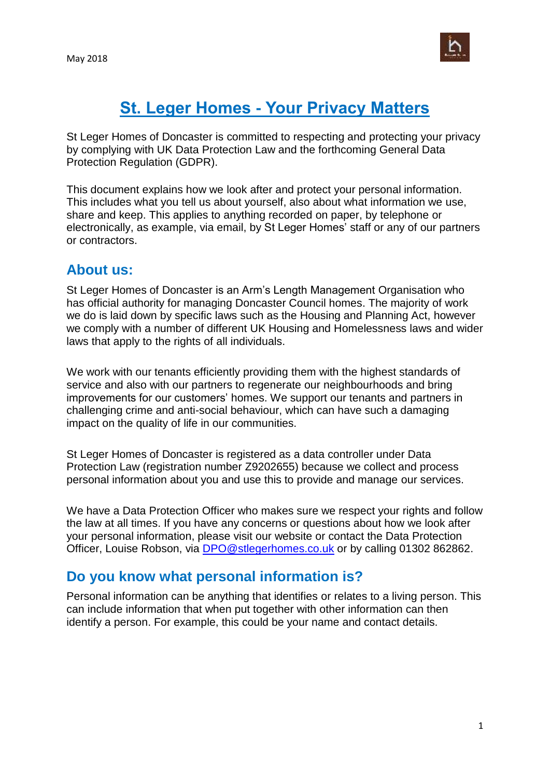

# **St. Leger Homes - Your Privacy Matters**

St Leger Homes of Doncaster is committed to respecting and protecting your privacy by complying with UK Data Protection Law and the forthcoming General Data Protection Regulation (GDPR).

This document explains how we look after and protect your personal information. This includes what you tell us about yourself, also about what information we use, share and keep. This applies to anything recorded on paper, by telephone or electronically, as example, via email, by St Leger Homes' staff or any of our partners or contractors.

#### **About us:**

St Leger Homes of Doncaster is an Arm's Length Management Organisation who has official authority for managing Doncaster Council homes. The majority of work we do is laid down by specific laws such as the Housing and Planning Act, however we comply with a number of different UK Housing and Homelessness laws and wider laws that apply to the rights of all individuals.

We work with our tenants efficiently providing them with the highest standards of service and also with our partners to regenerate our neighbourhoods and bring improvements for our customers' homes. We support our tenants and partners in challenging crime and anti-social behaviour, which can have such a damaging impact on the quality of life in our communities.

St Leger Homes of Doncaster is registered as a data controller under Data Protection Law (registration number Z9202655) because we collect and process personal information about you and use this to provide and manage our services.

We have a Data Protection Officer who makes sure we respect your rights and follow the law at all times. If you have any concerns or questions about how we look after your personal information, please visit our website or contact the Data Protection Officer, Louise Robson, via **[DPO@stlegerhomes.co.uk](mailto:DPO@stlegerhomes.co.uk)** or by calling 01302 862862.

### **Do you know what personal information is?**

Personal information can be anything that identifies or relates to a living person. This can include information that when put together with other information can then identify a person. For example, this could be your name and contact details.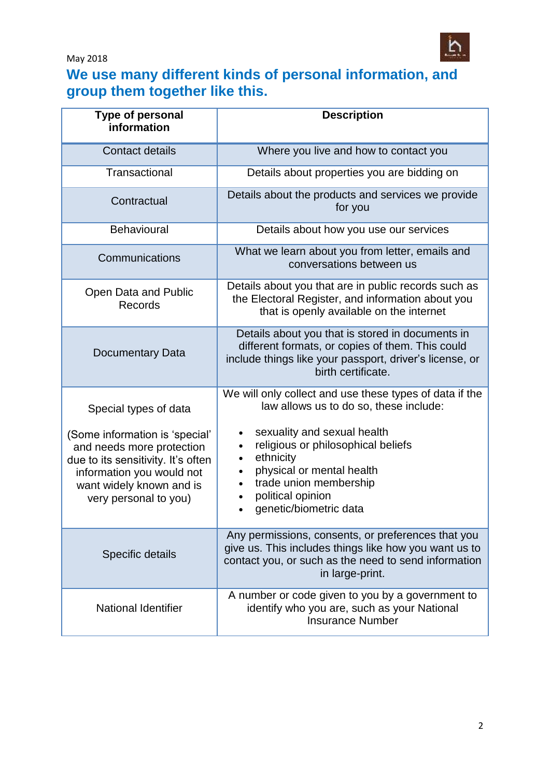May 2018



## **We use many different kinds of personal information, and group them together like this.**

| <b>Type of personal</b><br>information                                                                                                                                                                       | <b>Description</b>                                                                                                                                                                                                                                                                                                               |
|--------------------------------------------------------------------------------------------------------------------------------------------------------------------------------------------------------------|----------------------------------------------------------------------------------------------------------------------------------------------------------------------------------------------------------------------------------------------------------------------------------------------------------------------------------|
| <b>Contact details</b>                                                                                                                                                                                       | Where you live and how to contact you                                                                                                                                                                                                                                                                                            |
| Transactional                                                                                                                                                                                                | Details about properties you are bidding on                                                                                                                                                                                                                                                                                      |
| Contractual                                                                                                                                                                                                  | Details about the products and services we provide<br>for you                                                                                                                                                                                                                                                                    |
| Behavioural                                                                                                                                                                                                  | Details about how you use our services                                                                                                                                                                                                                                                                                           |
| Communications                                                                                                                                                                                               | What we learn about you from letter, emails and<br>conversations between us                                                                                                                                                                                                                                                      |
| Open Data and Public<br><b>Records</b>                                                                                                                                                                       | Details about you that are in public records such as<br>the Electoral Register, and information about you<br>that is openly available on the internet                                                                                                                                                                            |
| Documentary Data                                                                                                                                                                                             | Details about you that is stored in documents in<br>different formats, or copies of them. This could<br>include things like your passport, driver's license, or<br>birth certificate.                                                                                                                                            |
| Special types of data<br>(Some information is 'special'<br>and needs more protection<br>due to its sensitivity. It's often<br>information you would not<br>want widely known and is<br>very personal to you) | We will only collect and use these types of data if the<br>law allows us to do so, these include:<br>sexuality and sexual health<br>$\bullet$<br>religious or philosophical beliefs<br>ethnicity<br>$\bullet$<br>physical or mental health<br>$\bullet$<br>trade union membership<br>political opinion<br>genetic/biometric data |
| Specific details                                                                                                                                                                                             | Any permissions, consents, or preferences that you<br>give us. This includes things like how you want us to<br>contact you, or such as the need to send information<br>in large-print.                                                                                                                                           |
| <b>National Identifier</b>                                                                                                                                                                                   | A number or code given to you by a government to<br>identify who you are, such as your National<br><b>Insurance Number</b>                                                                                                                                                                                                       |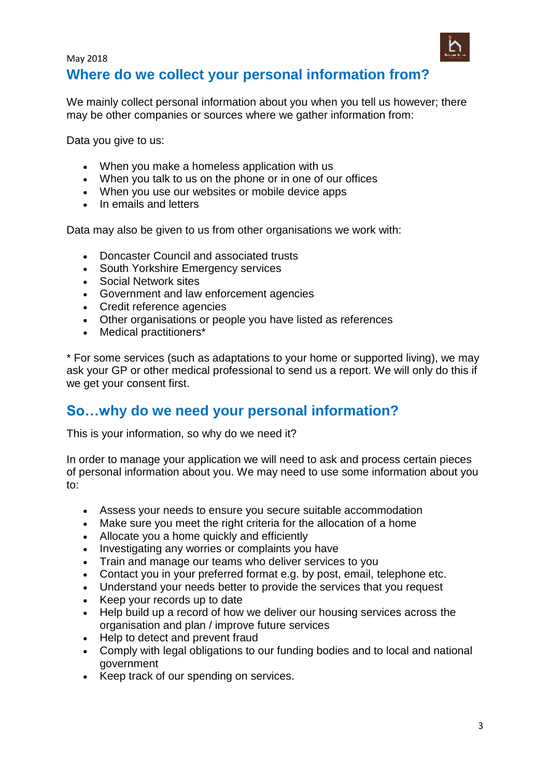

We mainly collect personal information about you when you tell us however; there may be other companies or sources where we gather information from:

Data you give to us:

May 2018

- When you make a homeless application with us
- When you talk to us on the phone or in one of our offices
- When you use our websites or mobile device apps
- In emails and letters

Data may also be given to us from other organisations we work with:

- Doncaster Council and associated trusts
- South Yorkshire Emergency services
- Social Network sites
- Government and law enforcement agencies
- Credit reference agencies
- Other organisations or people you have listed as references
- Medical practitioners\*

\* For some services (such as adaptations to your home or supported living), we may ask your GP or other medical professional to send us a report. We will only do this if we get your consent first.

### **So…why do we need your personal information?**

This is your information, so why do we need it?

In order to manage your application we will need to ask and process certain pieces of personal information about you. We may need to use some information about you to:

- Assess your needs to ensure you secure suitable accommodation
- Make sure you meet the right criteria for the allocation of a home
- Allocate you a home quickly and efficiently
- Investigating any worries or complaints you have
- Train and manage our teams who deliver services to you
- Contact you in your preferred format e.g. by post, email, telephone etc.
- Understand your needs better to provide the services that you request
- Keep your records up to date
- Help build up a record of how we deliver our housing services across the organisation and plan / improve future services
- Help to detect and prevent fraud
- Comply with legal obligations to our funding bodies and to local and national government
- Keep track of our spending on services.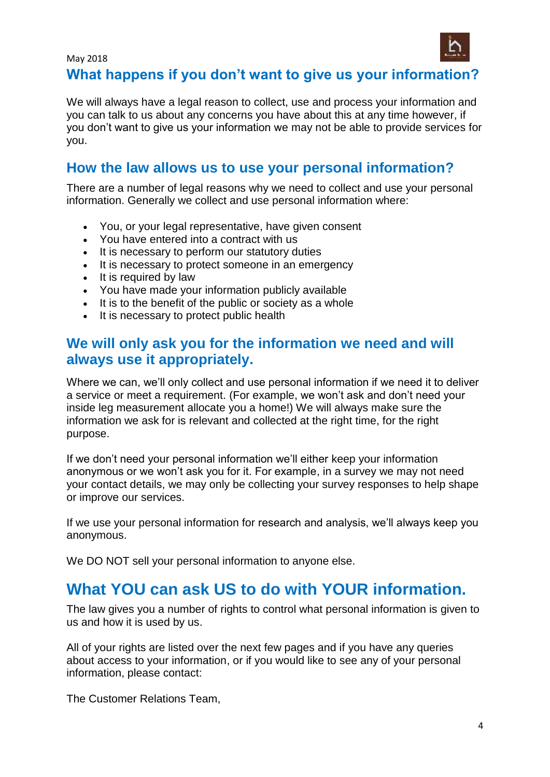

#### May 2018 **What happens if you don't want to give us your information?**

We will always have a legal reason to collect, use and process your information and you can talk to us about any concerns you have about this at any time however, if you don't want to give us your information we may not be able to provide services for you.

# **How the law allows us to use your personal information?**

There are a number of legal reasons why we need to collect and use your personal information. Generally we collect and use personal information where:

- You, or your legal representative, have given consent
- You have entered into a contract with us
- It is necessary to perform our statutory duties
- It is necessary to protect someone in an emergency
- It is required by law
- You have made your information publicly available
- It is to the benefit of the public or society as a whole
- It is necessary to protect public health

### **We will only ask you for the information we need and will always use it appropriately.**

Where we can, we'll only collect and use personal information if we need it to deliver a service or meet a requirement. (For example, we won't ask and don't need your inside leg measurement allocate you a home!) We will always make sure the information we ask for is relevant and collected at the right time, for the right purpose.

If we don't need your personal information we'll either keep your information anonymous or we won't ask you for it. For example, in a survey we may not need your contact details, we may only be collecting your survey responses to help shape or improve our services.

If we use your personal information for research and analysis, we'll always keep you anonymous.

We DO NOT sell your personal information to anyone else.

# **What YOU can ask US to do with YOUR information.**

The law gives you a number of rights to control what personal information is given to us and how it is used by us.

All of your rights are listed over the next few pages and if you have any queries about access to your information, or if you would like to see any of your personal information, please contact:

The Customer Relations Team,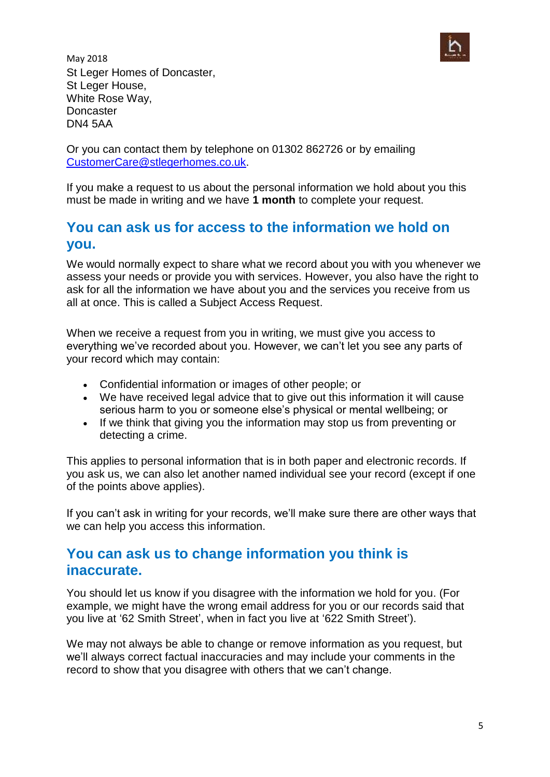

May 2018 St Leger Homes of Doncaster, St Leger House, White Rose Way, **Doncaster** DN4 5AA

Or you can contact them by telephone on 01302 862726 or by emailing [CustomerCare@stlegerhomes.co.uk.](mailto:CustomerCare@stlegerhomes.co.uk)

If you make a request to us about the personal information we hold about you this must be made in writing and we have **1 month** to complete your request.

## **You can ask us for access to the information we hold on you.**

We would normally expect to share what we record about you with you whenever we assess your needs or provide you with services. However, you also have the right to ask for all the information we have [about you](https://www.essex.gov.uk/Your-Council/Your-Right-Know/Pages/Your-Right-Know.aspx) and the services you receive from us all at once. This is called a Subject Access Request.

When we receive a request from you in writing, we must give you access to everything we've recorded about you. However, we can't let you see any parts of your record which may contain:

- Confidential information or images of other people; or
- We have received legal advice that to give out this information it will cause serious harm to you or someone else's physical or mental wellbeing; or
- If we think that giving you the information may stop us from preventing or detecting a crime.

This applies to personal information that is in both paper and electronic records. If you ask us, we can also let another named individual see your record (except if one of the points above applies).

If you can't ask in writing for your records, we'll make sure there are other ways that we can help you access this information.

### **You can ask us to change information you think is inaccurate.**

You should let us know if you disagree with the information we hold for you. (For example, we might have the wrong email address for you or our records said that you live at '62 Smith Street', when in fact you live at '622 Smith Street').

We may not always be able to change or remove information as you request, but we'll always correct factual inaccuracies and may include your comments in the record to show that you disagree with others that we can't change.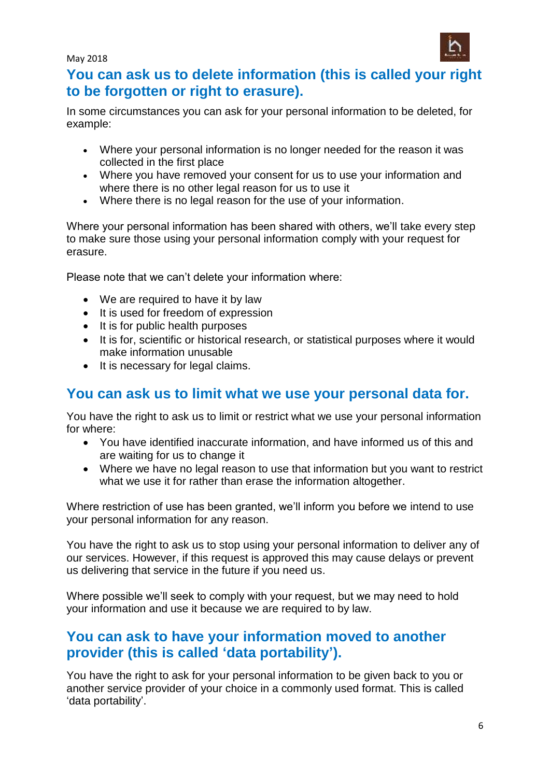May 2018



### **You can ask us to delete information (this is called your right to be forgotten or right to erasure).**

In some circumstances you can ask for your personal information to be deleted, for example:

- Where your personal information is no longer needed for the reason it was collected in the first place
- Where you have removed your consent for us to use your information and where there is no other legal reason for us to use it
- Where there is no legal reason for the use of your information.

Where your personal information has been shared with others, we'll take every step to make sure those using your personal information comply with your request for erasure.

Please note that we can't delete your information where:

- We are required to have it by law
- It is used for freedom of expression
- It is for public health purposes
- It is for, scientific or historical research, or statistical purposes where it would make information unusable
- It is necessary for legal claims.

# **You can ask us to limit what we use your personal data for.**

You have the right to ask us to limit or restrict what we use your personal information for where:

- You have identified inaccurate information, and have informed us of this and are waiting for us to change it
- Where we have no legal reason to use that information but you want to restrict what we use it for rather than erase the information altogether.

Where restriction of use has been granted, we'll inform you before we intend to use your personal information for any reason.

You have the right to ask us to stop using your personal information to deliver any of our services. However, if this request is approved this may cause delays or prevent us delivering that service in the future if you need us.

Where possible we'll seek to comply with your request, but we may need to hold your information and use it because we are required to by law.

## **You can ask to have your information moved to another provider (this is called 'data portability').**

You have the right to ask for your personal information to be given back to you or another service provider of your choice in a commonly used format. This is called 'data portability'.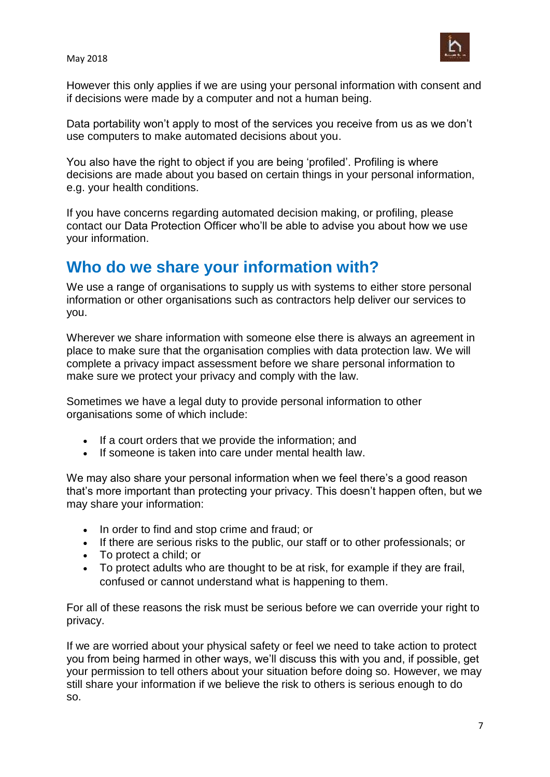

However this only applies if we are using your personal information with consent and if decisions were made by a computer and not a human being.

Data portability won't apply to most of the services you receive from us as we don't use computers to make automated decisions about you.

You also have the right to object if you are being 'profiled'. Profiling is where decisions are made about you based on certain things in your personal information, e.g. your health conditions.

If you have concerns regarding automated decision making, or profiling, please contact our Data Protection Officer who'll be able to advise you about how we use your information.

# **Who do we share your information with?**

We use a range of organisations to supply us with systems to either store personal information or other organisations such as contractors help deliver our services to you.

Wherever we share information with someone else there is always an agreement in place to make sure that the organisation complies with data protection law. We will complete a privacy impact assessment before we share personal information to make sure we protect your privacy and comply with the law.

Sometimes we have a legal duty to provide personal information to other organisations some of which include:

- If a court orders that we provide the information; and
- If someone is taken into care under mental health law.

We may also share your personal information when we feel there's a good reason that's more important than protecting your privacy. This doesn't happen often, but we may share your information:

- In order to find and stop crime and fraud; or
- If there are serious risks to the public, our staff or to other professionals; or
- To protect a child; or
- To protect adults who are thought to be at risk, for example if they are frail, confused or cannot understand what is happening to them.

For all of these reasons the risk must be serious before we can override your right to privacy.

If we are worried about your physical safety or feel we need to take action to protect you from being harmed in other ways, we'll discuss this with you and, if possible, get your permission to tell others about your situation before doing so. However, we may still share your information if we believe the risk to others is serious enough to do so.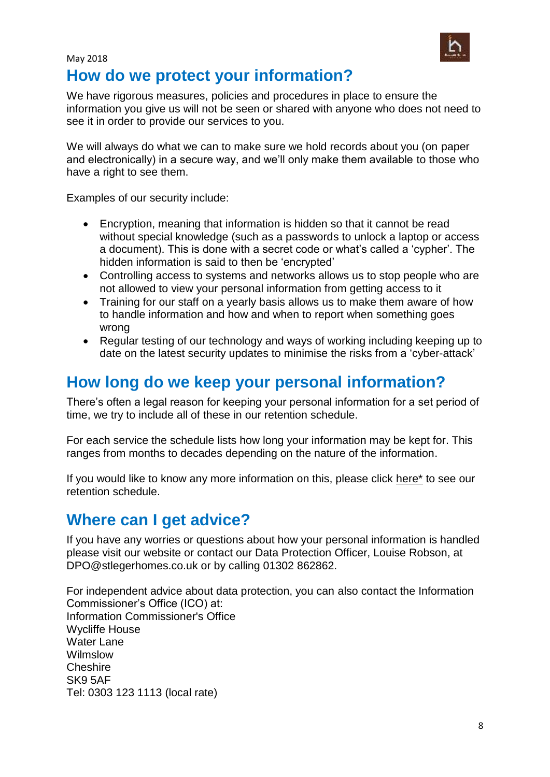

### May 2018 **How do we protect your information?**

We have rigorous measures, policies and procedures in place to ensure the information you give us will not be seen or shared with anyone who does not need to see it in order to provide our services to you.

We will always do what we can to make sure we hold records about you (on paper and electronically) in a secure way, and we'll only make them available to those who have a right to see them.

Examples of our security include:

- Encryption, meaning that information is hidden so that it cannot be read without special knowledge (such as a passwords to unlock a laptop or access a document). This is done with a secret code or what's called a 'cypher'. The hidden information is said to then be 'encrypted'
- Controlling access to systems and networks allows us to stop people who are not allowed to view your personal information from getting access to it
- Training for our staff on a yearly basis allows us to make them aware of how to handle information and how and when to report when something goes wrong
- Regular testing of our technology and ways of working including keeping up to date on the latest security updates to minimise the risks from a 'cyber-attack'

# **How long do we keep your personal information?**

There's often a legal reason for keeping your personal information for a set period of time, we try to include all of these in our [retention schedule.](https://www.essex.gov.uk/Your-Council/Your-Right-Know/Documents/Retention_Schedule.pdf)

For each service the schedule lists how long your information may be kept for. This ranges from months to decades depending on the nature of the information.

If you would like to know any more information on this, please click here\* to see our retention schedule.

# **Where can I get advice?**

If you have any worries or questions about how your personal information is handled please visit our website or contact our Data Protection Officer, Louise Robson, at DPO@stlegerhomes.co.uk or by calling 01302 862862.

For independent advice about data protection, you can also contact the Information Commissioner's Office (ICO) at: Information Commissioner's Office Wycliffe House Water Lane Wilmslow **Cheshire** SK9 5AF Tel: 0303 123 1113 (local rate)